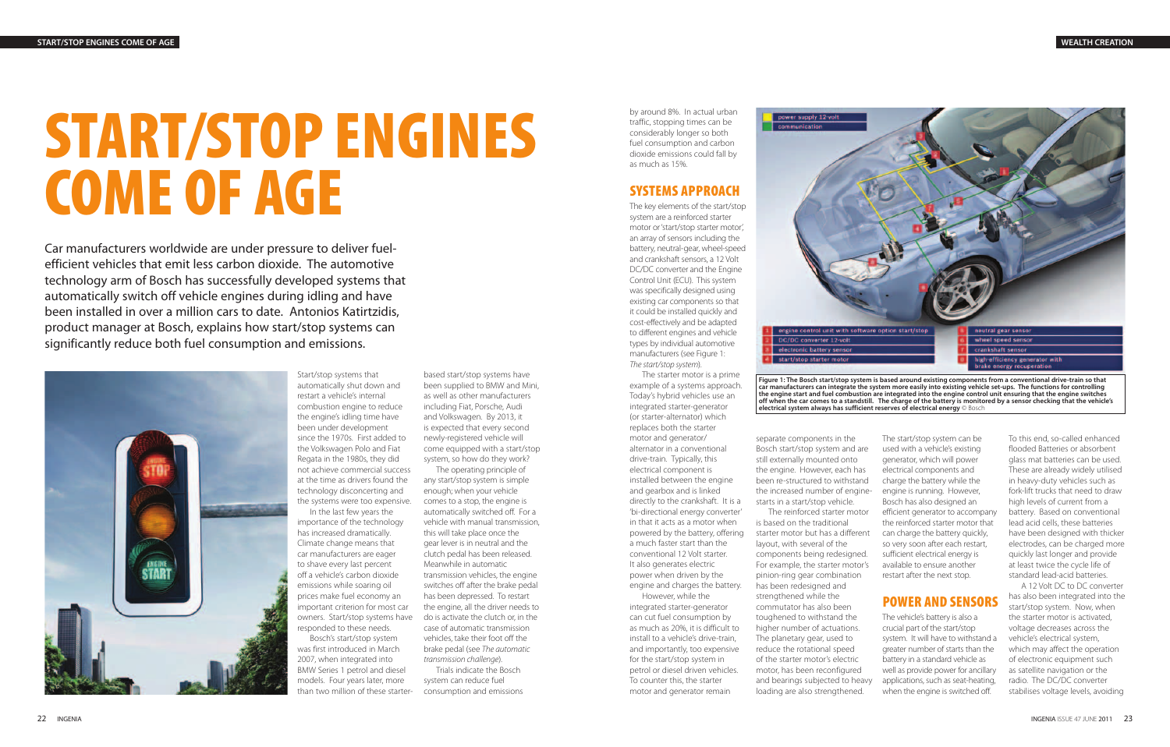# **START/STOP ENGINES COME OF AGE**

Car manufacturers worldwide are under pressure to deliver fuelefficient vehicles that emit less carbon dioxide. The automotive technology arm of Bosch has successfully developed systems that automatically switch off vehicle engines during idling and have been installed in over a million cars to date. Antonios Katirtzidis, product manager at Bosch, explains how start/stop systems can significantly reduce both fuel consumption and emissions.



Start/stop systems that automatically shut down and restart a vehicle's internal combustion engine to reduce the engine's idling time have been under development since the 1970s. First added to the Volkswagen Polo and Fiat Regata in the 1980s, they did not achieve commercial success at the time as drivers found the technology disconcerting and the systems were too expensive.

In the last few years the importance of the technology has increased dramatically. Climate change means that car manufacturers are eager to shave every last percent off a vehicle's carbon dioxide emissions while soaring oil prices make fuel economy an important criterion for most car owners. Start/stop systems have responded to these needs.

Bosch's start/stop system was first introduced in March 2007, when integrated into BMW Series 1 petrol and diesel models. Four years later, more than two million of these starter-

based start/stop systems have been supplied to BMW and Mini, as well as other manufacturers including Fiat, Porsche, Audi and Volkswagen. By 2013, it is expected that every second newly-registered vehicle will come equipped with a start/stop system, so how do they work?

The operating principle of any start/stop system is simple enough; when your vehicle comes to a stop, the engine is automatically switched off. For a vehicle with manual transmission, this will take place once the gear lever is in neutral and the clutch pedal has been released. Meanwhile in automatic transmission vehicles, the engine switches off after the brake pedal has been depressed. To restart the engine, all the driver needs to do is activate the clutch or, in the case of automatic transmission vehicles, take their foot off the brake pedal (see The automatic transmission challenge).

Trials indicate the Bosch system can reduce fuel consumption and emissions by around 8%. In actual urban traffic, stopping times can be considerably longer so both fuel consumption and carbon dioxide emissions could fall by as much as 15%.

# **SYSTEMS APPROACH**

The key elements of the start/stop system are a reinforced starter motor or 'start/stop starter motor', an array of sensors including the battery, neutral-gear, wheel-speed and crankshaft sensors, a 12 Volt DC/DC converter and the Engine Control Unit (ECU). This system was specifically designed using existing car components so that it could be installed quickly and cost-effectively and be adapted to different engines and vehicle types by individual automotive manufacturers (see Figure 1: The start/stop system).

The starter motor is a prime example of a systems approach. Today's hybrid vehicles use an integrated starter-generator (or starter-alternator) which replaces both the starter motor and generator/ alternator in a conventional drive-train. Typically, this electrical component is installed between the engine and gearbox and is linked directly to the crankshaft. It is a 'bi-directional energy converter' in that it acts as a motor when powered by the battery, offering a much faster start than the conventional 12 Volt starter. It also generates electric power when driven by the engine and charges the battery.

However, while the integrated starter-generator can cut fuel consumption by as much as 20%, it is difficult to install to a vehicle's drive-train, and importantly, too expensive for the start/stop system in petrol or diesel driven vehicles. To counter this, the starter motor and generator remain

separate components in the Bosch start/stop system and are still externally mounted onto the engine. However, each has been re-structured to withstand the increased number of enginestarts in a start/stop vehicle. The reinforced starter motor is based on the traditional starter motor but has a different layout, with several of the components being redesigned. For example, the starter motor's pinion-ring gear combination has been redesigned and strengthened while the commutator has also been toughened to withstand the higher number of actuations. The planetary gear, used to reduce the rotational speed of the starter motor's electric motor, has been reconfigured and bearings subjected to heavy loading are also strengthened.

The start/stop system can be used with a vehicle's existing generator, which will power electrical components and charge the battery while the engine is running. However, Bosch has also designed an efficient generator to accompany the reinforced starter motor that can charge the battery quickly, so very soon after each restart, sufficient electrical energy is available to ensure another restart after the next stop.

## **POWER AND SENSORS**

The vehicle's battery is also a crucial part of the start/stop system. It will have to withstand a greater number of starts than the battery in a standard vehicle as well as provide power for ancillary applications, such as seat-heating, when the engine is switched off.

To this end, so-called enhanced flooded Batteries or absorbent glass mat batteries can be used. These are already widely utilised in heavy-duty vehicles such as fork-lift trucks that need to draw high levels of current from a battery. Based on conventional lead acid cells, these batteries have been designed with thicker electrodes, can be charged more quickly last longer and provide at least twice the cycle life of standard lead-acid batteries.

A 12 Volt DC to DC converter has also been integrated into the start/stop system. Now, when the starter motor is activated, voltage decreases across the vehicle's electrical system, which may affect the operation of electronic equipment such as satellite navigation or the radio. The DC/DC converter stabilises voltage levels, avoiding



**car manufacturers can integrate the system more easily into existing vehicle set-ups. The functions for controlling the engine start and fuel combustion are integrated into the engine control unit ensuring that the engine switches off when the car comes to a standstill. The charge of the battery is monitored by a sensor checking that the vehicle's electrical system always has sufficient reserves of electrical energy** © Bosch